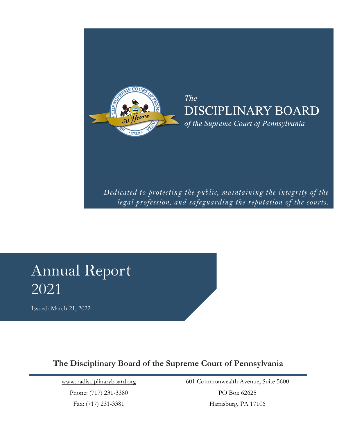

**The** DISCIPLINARY BOARD of the Supreme Court of Pennsylvania

*Dedicated to protecting the public, maintaining the integrity of the legal profession, and safeguarding the reputation of the courts.*

# Annual Report 2021

Issued: March 21, 2022

## **The Disciplinary Board of the Supreme Court of Pennsylvania**

[www.padisciplinaryboard.org](file://///sadbfile03/users/Public/Users/Dana/Annual%20Report/Annual%20Report%202019/www.padisciplinaryboard.org) Phone: (717) 231-3380

Fax: (717) 231-3381

601 Commonwealth Avenue, Suite 5600 PO Box 62625 Harrisburg, PA 17106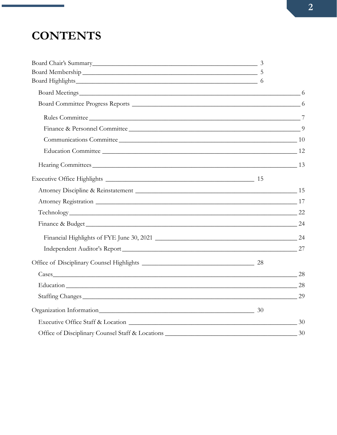# **CONTENTS**

| Board Membership 5                                    |  |
|-------------------------------------------------------|--|
| Board Highlights 6                                    |  |
| Board Meetings 6                                      |  |
|                                                       |  |
|                                                       |  |
|                                                       |  |
| Communications Committee 10 10                        |  |
|                                                       |  |
| Hearing Committees 13                                 |  |
|                                                       |  |
| Attorney Discipline & Reinstatement 15                |  |
|                                                       |  |
| Technology 22                                         |  |
| Finance & Budget 24                                   |  |
|                                                       |  |
| Independent Auditor's Report 27                       |  |
|                                                       |  |
|                                                       |  |
| Education 28                                          |  |
| Staffing Changes 29                                   |  |
| Organization Information 30                           |  |
|                                                       |  |
| Office of Disciplinary Counsel Staff & Locations 2008 |  |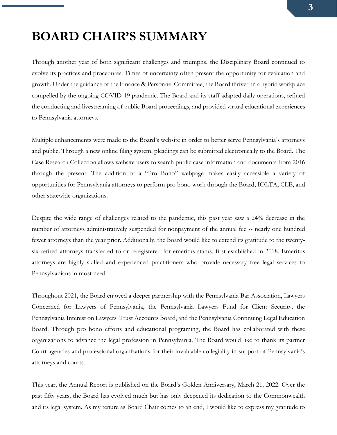## <span id="page-2-0"></span>**BOARD CHAIR'S SUMMARY**

Through another year of both significant challenges and triumphs, the Disciplinary Board continued to evolve its practices and procedures. Times of uncertainty often present the opportunity for evaluation and growth. Under the guidance of the Finance & Personnel Committee, the Board thrived in a hybrid workplace compelled by the ongoing COVID-19 pandemic. The Board and its staff adapted daily operations, refined the conducting and livestreaming of public Board proceedings, and provided virtual educational experiences to Pennsylvania attorneys.

Multiple enhancements were made to the Board's website in order to better serve Pennsylvania's attorneys and public. Through a new online filing system, pleadings can be submitted electronically to the Board. The Case Research Collection allows website users to search public case information and documents from 2016 through the present. The addition of a "Pro Bono" webpage makes easily accessible a variety of opportunities for Pennsylvania attorneys to perform pro bono work through the Board, IOLTA, CLE, and other statewide organizations.

Despite the wide range of challenges related to the pandemic, this past year saw a 24% decrease in the number of attorneys administratively suspended for nonpayment of the annual fee -- nearly one hundred fewer attorneys than the year prior. Additionally, the Board would like to extend its gratitude to the twentysix retired attorneys transferred to or reregistered for emeritus status, first established in 2018. Emeritus attorneys are highly skilled and experienced practitioners who provide necessary free legal services to Pennsylvanians in most need.

Throughout 2021, the Board enjoyed a deeper partnership with the Pennsylvania Bar Association, Lawyers Concerned for Lawyers of Pennsylvania, the Pennsylvania Lawyers Fund for Client Security, the Pennsylvania Interest on Lawyers' Trust Accounts Board, and the Pennsylvania Continuing Legal Education Board. Through pro bono efforts and educational programing, the Board has collaborated with these organizations to advance the legal profession in Pennsylvania. The Board would like to thank its partner Court agencies and professional organizations for their invaluable collegiality in support of Pennsylvania's attorneys and courts.

This year, the Annual Report is published on the Board's Golden Anniversary, March 21, 2022. Over the past fifty years, the Board has evolved much but has only deepened its dedication to the Commonwealth and its legal system. As my tenure as Board Chair comes to an end, I would like to express my gratitude to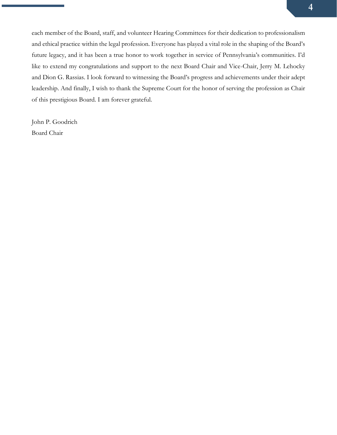each member of the Board, staff, and volunteer Hearing Committees for their dedication to professionalism and ethical practice within the legal profession. Everyone has played a vital role in the shaping of the Board's future legacy, and it has been a true honor to work together in service of Pennsylvania's communities. I'd like to extend my congratulations and support to the next Board Chair and Vice-Chair, Jerry M. Lehocky and Dion G. Rassias. I look forward to witnessing the Board's progress and achievements under their adept leadership. And finally, I wish to thank the Supreme Court for the honor of serving the profession as Chair of this prestigious Board. I am forever grateful.

John P. Goodrich Board Chair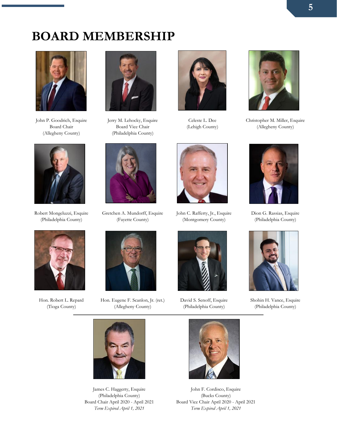## <span id="page-4-0"></span>**BOARD MEMBERSHIP**



John P. Goodrich, Esquire Board Chair (Allegheny County)



Robert Mongeluzzi, Esquire (Philadelphia County)



Hon. Robert L. Repard (Tioga County)



Jerry M. Lehocky, Esquire Board Vice Chair (Philadelphia County)



Gretchen A. Mundorff, Esquire (Fayette County)



Hon. Eugene F. Scanlon, Jr. (ret.) (Allegheny County)



Celeste L. Dee (Lehigh County)



John C. Rafferty, Jr., Esquire (Montgomery County)



David S. Senoff, Esquire (Philadelphia County)



Christopher M. Miller, Esquire (Allegheny County)



Dion G. Rassias, Esquire (Philadelphia County)



Shohin H. Vance, Esquire (Philadelphia County)



James C. Haggerty, Esquire (Philadelphia County) Board Chair April 2020 - April 2021 *Term Expired April 1, 2021*



John F. Cordisco, Esquire (Bucks County) Board Vice Chair April 2020 - April 2021 *Term Expired April 1, 2021*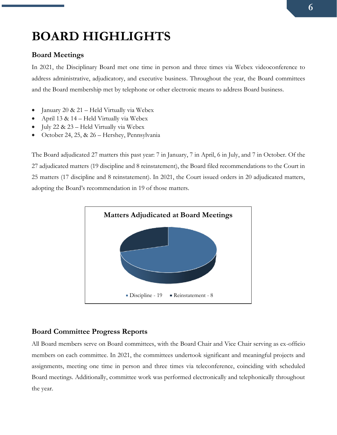# <span id="page-5-0"></span>**BOARD HIGHLIGHTS**

## <span id="page-5-1"></span>**Board Meetings**

In 2021, the Disciplinary Board met one time in person and three times via Webex videoconference to address administrative, adjudicatory, and executive business. Throughout the year, the Board committees and the Board membership met by telephone or other electronic means to address Board business.

- January 20 & 21 Held Virtually via Webex
- April 13 & 14 Held Virtually via Webex
- July 22 & 23 Held Virtually via Webex
- October 24, 25, & 26 Hershey, Pennsylvania

The Board adjudicated 27 matters this past year: 7 in January, 7 in April, 6 in July, and 7 in October. Of the 27 adjudicated matters (19 discipline and 8 reinstatement), the Board filed recommendations to the Court in 25 matters (17 discipline and 8 reinstatement). In 2021, the Court issued orders in 20 adjudicated matters, adopting the Board's recommendation in 19 of those matters.



## <span id="page-5-2"></span>**Board Committee Progress Reports**

All Board members serve on Board committees, with the Board Chair and Vice Chair serving as ex-officio members on each committee. In 2021, the committees undertook significant and meaningful projects and assignments, meeting one time in person and three times via teleconference, coinciding with scheduled Board meetings. Additionally, committee work was performed electronically and telephonically throughout the year.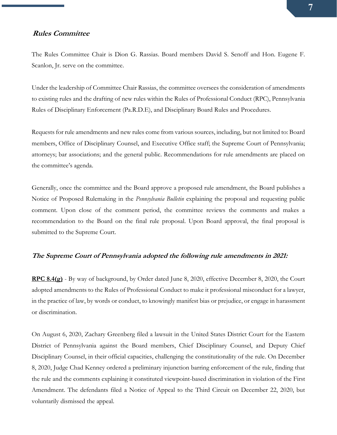#### <span id="page-6-0"></span>**Rules Committee**

The Rules Committee Chair is Dion G. Rassias. Board members David S. Senoff and Hon. Eugene F. Scanlon, Jr. serve on the committee.

Under the leadership of Committee Chair Rassias, the committee oversees the consideration of amendments to existing rules and the drafting of new rules within the Rules of Professional Conduct (RPC), Pennsylvania Rules of Disciplinary Enforcement (Pa.R.D.E), and Disciplinary Board Rules and Procedures.

Requests for rule amendments and new rules come from various sources, including, but not limited to: Board members, Office of Disciplinary Counsel, and Executive Office staff; the Supreme Court of Pennsylvania; attorneys; bar associations; and the general public. Recommendations for rule amendments are placed on the committee's agenda.

Generally, once the committee and the Board approve a proposed rule amendment, the Board publishes a Notice of Proposed Rulemaking in the *Pennsylvania Bulletin* explaining the proposal and requesting public comment. Upon close of the comment period, the committee reviews the comments and makes a recommendation to the Board on the final rule proposal. Upon Board approval, the final proposal is submitted to the Supreme Court.

#### **The Supreme Court of Pennsylvania adopted the following rule amendments in 2021:**

**RPC 8.4(g)** - By way of background, by Order dated June 8, 2020, effective December 8, 2020, the Court adopted amendments to the Rules of Professional Conduct to make it professional misconduct for a lawyer, in the practice of law, by words or conduct, to knowingly manifest bias or prejudice, or engage in harassment or discrimination.

On August 6, 2020, Zachary Greenberg filed a lawsuit in the United States District Court for the Eastern District of Pennsylvania against the Board members, Chief Disciplinary Counsel, and Deputy Chief Disciplinary Counsel, in their official capacities, challenging the constitutionality of the rule. On December 8, 2020, Judge Chad Kenney ordered a preliminary injunction barring enforcement of the rule, finding that the rule and the comments explaining it constituted viewpoint-based discrimination in violation of the First Amendment. The defendants filed a Notice of Appeal to the Third Circuit on December 22, 2020, but voluntarily dismissed the appeal.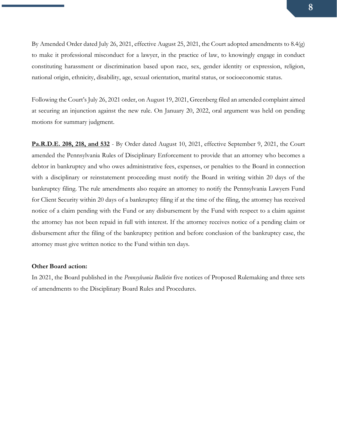By Amended Order dated July 26, 2021, effective August 25, 2021, the Court adopted amendments to 8.4(g) to make it professional misconduct for a lawyer, in the practice of law, to knowingly engage in conduct constituting harassment or discrimination based upon race, sex, gender identity or expression, religion, national origin, ethnicity, disability, age, sexual orientation, marital status, or socioeconomic status.

Following the Court's July 26, 2021 order, on August 19, 2021, Greenberg filed an amended complaint aimed at securing an injunction against the new rule. On January 20, 2022, oral argument was held on pending motions for summary judgment.

**Pa.R.D.E. 208, 218, and 532** - By Order dated August 10, 2021, effective September 9, 2021, the Court amended the Pennsylvania Rules of Disciplinary Enforcement to provide that an attorney who becomes a debtor in bankruptcy and who owes administrative fees, expenses, or penalties to the Board in connection with a disciplinary or reinstatement proceeding must notify the Board in writing within 20 days of the bankruptcy filing. The rule amendments also require an attorney to notify the Pennsylvania Lawyers Fund for Client Security within 20 days of a bankruptcy filing if at the time of the filing, the attorney has received notice of a claim pending with the Fund or any disbursement by the Fund with respect to a claim against the attorney has not been repaid in full with interest. If the attorney receives notice of a pending claim or disbursement after the filing of the bankruptcy petition and before conclusion of the bankruptcy case, the attorney must give written notice to the Fund within ten days.

#### **Other Board action:**

In 2021, the Board published in the *Pennsylvania Bulletin* five notices of Proposed Rulemaking and three sets of amendments to the Disciplinary Board Rules and Procedures.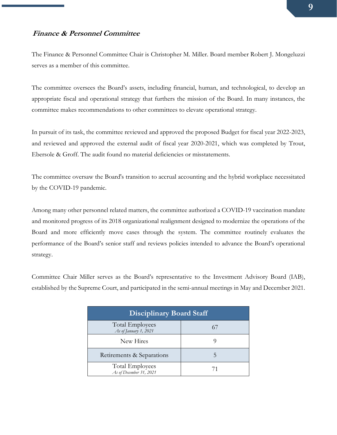#### <span id="page-8-0"></span>**Finance & Personnel Committee**

The Finance & Personnel Committee Chair is Christopher M. Miller. Board member Robert J. Mongeluzzi serves as a member of this committee.

The committee oversees the Board's assets, including financial, human, and technological, to develop an appropriate fiscal and operational strategy that furthers the mission of the Board. In many instances, the committee makes recommendations to other committees to elevate operational strategy.

In pursuit of its task, the committee reviewed and approved the proposed Budget for fiscal year 2022-2023, and reviewed and approved the external audit of fiscal year 2020-2021, which was completed by Trout, Ebersole & Groff. The audit found no material deficiencies or misstatements.

The committee oversaw the Board's transition to accrual accounting and the hybrid workplace necessitated by the COVID-19 pandemic.

Among many other personnel related matters, the committee authorized a COVID-19 vaccination mandate and monitored progress of its 2018 organizational realignment designed to modernize the operations of the Board and more efficiently move cases through the system. The committee routinely evaluates the performance of the Board's senior staff and reviews policies intended to advance the Board's operational strategy.

Committee Chair Miller serves as the Board's representative to the Investment Advisory Board (IAB), established by the Supreme Court, and participated in the semi-annual meetings in May and December 2021.

| <b>Disciplinary Board Staff</b>                   |  |  |  |
|---------------------------------------------------|--|--|--|
| <b>Total Employees</b><br>As of January 1, 2021   |  |  |  |
| New Hires                                         |  |  |  |
| Retirements & Separations                         |  |  |  |
| <b>Total Employees</b><br>As of December 31, 2021 |  |  |  |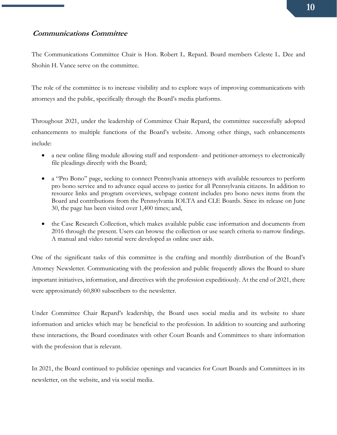### <span id="page-9-0"></span>**Communications Committee**

The Communications Committee Chair is Hon. Robert L. Repard. Board members Celeste L. Dee and Shohin H. Vance serve on the committee.

The role of the committee is to increase visibility and to explore ways of improving communications with attorneys and the public, specifically through the Board's media platforms.

Throughout 2021, under the leadership of Committee Chair Repard, the committee successfully adopted enhancements to multiple functions of the Board's website. Among other things, such enhancements include:

- a new online filing module allowing staff and respondent- and petitioner-attorneys to electronically file pleadings directly with the Board;
- a "Pro Bono" page, seeking to connect Pennsylvania attorneys with available resources to perform pro bono service and to advance equal access to justice for all Pennsylvania citizens. In addition to resource links and program overviews, webpage content includes pro bono news items from the Board and contributions from the Pennsylvania IOLTA and CLE Boards. Since its release on June 30, the page has been visited over 1,400 times; and,
- the Case Research Collection, which makes available public case information and documents from 2016 through the present. Users can browse the collection or use search criteria to narrow findings. A manual and video tutorial were developed as online user aids.

One of the significant tasks of this committee is the crafting and monthly distribution of the Board's Attorney Newsletter. Communicating with the profession and public frequently allows the Board to share important initiatives, information, and directives with the profession expeditiously. At the end of 2021, there were approximately 60,800 subscribers to the newsletter.

Under Committee Chair Repard's leadership, the Board uses social media and its website to share information and articles which may be beneficial to the profession. In addition to sourcing and authoring these interactions, the Board coordinates with other Court Boards and Committees to share information with the profession that is relevant.

In 2021, the Board continued to publicize openings and vacancies for Court Boards and Committees in its newsletter, on the website, and via social media.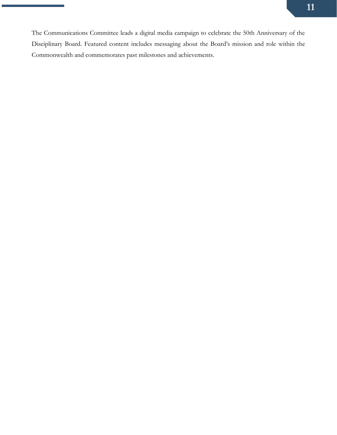The Communications Committee leads a digital media campaign to celebrate the 50th Anniversary of the Disciplinary Board. Featured content includes messaging about the Board's mission and role within the Commonwealth and commemorates past milestones and achievements.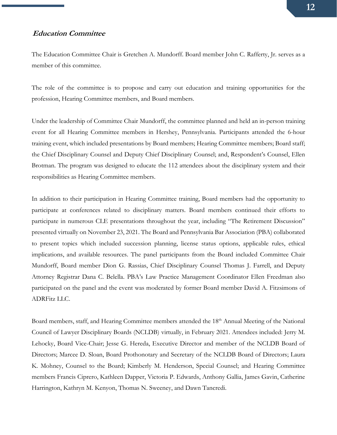#### <span id="page-11-0"></span>**Education Committee**

The Education Committee Chair is Gretchen A. Mundorff. Board member John C. Rafferty, Jr. serves as a member of this committee.

The role of the committee is to propose and carry out education and training opportunities for the profession, Hearing Committee members, and Board members.

Under the leadership of Committee Chair Mundorff, the committee planned and held an in-person training event for all Hearing Committee members in Hershey, Pennsylvania. Participants attended the 6-hour training event, which included presentations by Board members; Hearing Committee members; Board staff; the Chief Disciplinary Counsel and Deputy Chief Disciplinary Counsel; and, Respondent's Counsel, Ellen Brotman. The program was designed to educate the 112 attendees about the disciplinary system and their responsibilities as Hearing Committee members.

In addition to their participation in Hearing Committee training, Board members had the opportunity to participate at conferences related to disciplinary matters. Board members continued their efforts to participate in numerous CLE presentations throughout the year, including "The Retirement Discussion" presented virtually on November 23, 2021. The Board and Pennsylvania Bar Association (PBA) collaborated to present topics which included succession planning, license status options, applicable rules, ethical implications, and available resources. The panel participants from the Board included Committee Chair Mundorff, Board member Dion G. Rassias, Chief Disciplinary Counsel Thomas J. Farrell, and Deputy Attorney Registrar Dana C. Belella. PBA's Law Practice Management Coordinator Ellen Freedman also participated on the panel and the event was moderated by former Board member David A. Fitzsimons of ADRFitz LLC.

Board members, staff, and Hearing Committee members attended the 18<sup>th</sup> Annual Meeting of the National Council of Lawyer Disciplinary Boards (NCLDB) virtually, in February 2021. Attendees included: Jerry M. Lehocky, Board Vice-Chair; Jesse G. Hereda, Executive Director and member of the NCLDB Board of Directors; Marcee D. Sloan, Board Prothonotary and Secretary of the NCLDB Board of Directors; Laura K. Mohney, Counsel to the Board; Kimberly M. Henderson, Special Counsel; and Hearing Committee members Francis Ciprero, Kathleen Dapper, Victoria P. Edwards, Anthony Gallia, James Gavin, Catherine Harrington, Kathryn M. Kenyon, Thomas N. Sweeney, and Dawn Tancredi.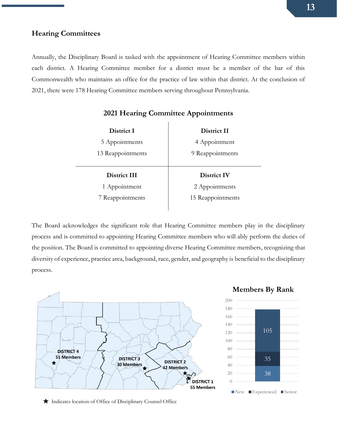#### <span id="page-12-0"></span>**Hearing Committees**

Annually, the Disciplinary Board is tasked with the appointment of Hearing Committee members within each district. A Hearing Committee member for a district must be a member of the bar of this Commonwealth who maintains an office for the practice of law within that district. At the conclusion of 2021, there were 178 Hearing Committee members serving throughout Pennsylvania.

| District I        | District II       |
|-------------------|-------------------|
| 5 Appointments    | 4 Appointment     |
| 13 Reappointments | 9 Reappointments  |
|                   |                   |
|                   |                   |
| District III      | District IV       |
| 1 Appointment     | 2 Appointments    |
| 7 Reappointments  | 15 Reappointments |

## **2021 Hearing Committee Appointments**

The Board acknowledges the significant role that Hearing Committee members play in the disciplinary process and is committed to appointing Hearing Committee members who will ably perform the duties of the position. The Board is committed to appointing diverse Hearing Committee members, recognizing that diversity of experience, practice area, background, race, gender, and geography is beneficial to the disciplinary process.



#### **Members By Rank**



Indicates location of Office of Disciplinary Counsel Office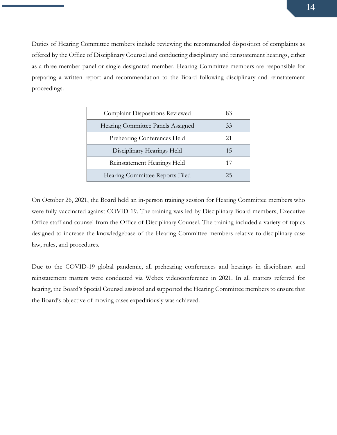Duties of Hearing Committee members include reviewing the recommended disposition of complaints as offered by the Office of Disciplinary Counsel and conducting disciplinary and reinstatement hearings, either as a three-member panel or single designated member. Hearing Committee members are responsible for preparing a written report and recommendation to the Board following disciplinary and reinstatement proceedings.

| <b>Complaint Dispositions Reviewed</b> | 83 |
|----------------------------------------|----|
| Hearing Committee Panels Assigned      | 33 |
| Prehearing Conferences Held            | 21 |
| Disciplinary Hearings Held             | 15 |
| Reinstatement Hearings Held            |    |
| Hearing Committee Reports Filed        | 25 |

On October 26, 2021, the Board held an in-person training session for Hearing Committee members who were fully-vaccinated against COVID-19. The training was led by Disciplinary Board members, Executive Office staff and counsel from the Office of Disciplinary Counsel. The training included a variety of topics designed to increase the knowledgebase of the Hearing Committee members relative to disciplinary case law, rules, and procedures.

Due to the COVID-19 global pandemic, all prehearing conferences and hearings in disciplinary and reinstatement matters were conducted via Webex videoconference in 2021. In all matters referred for hearing, the Board's Special Counsel assisted and supported the Hearing Committee members to ensure that the Board's objective of moving cases expeditiously was achieved.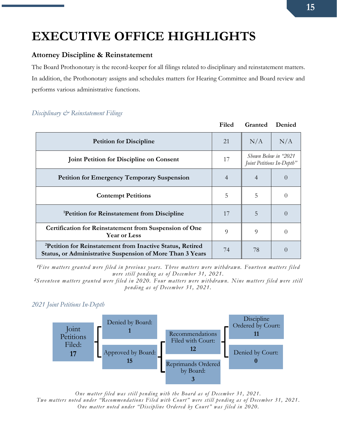# <span id="page-14-0"></span>**EXECUTIVE OFFICE HIGHLIGHTS**

## <span id="page-14-1"></span>**Attorney Discipline & Reinstatement**

The Board Prothonotary is the record-keeper for all filings related to disciplinary and reinstatement matters. In addition, the Prothonotary assigns and schedules matters for Hearing Committee and Board review and performs various administrative functions.

## *Disciplinary & Reinstatement Filings*

|                                                                                                                                    | Filed          | Granted                   | Denied               |
|------------------------------------------------------------------------------------------------------------------------------------|----------------|---------------------------|----------------------|
| <b>Petition for Discipline</b>                                                                                                     | 21             | N/A                       | N/A                  |
| <b>Joint Petition for Discipline on Consent</b>                                                                                    | 17             | Joint Petitions In-Depth" | Shown Below in "2021 |
| <b>Petition for Emergency Temporary Suspension</b>                                                                                 | $\overline{4}$ | 4                         | $\left($             |
| <b>Contempt Petitions</b>                                                                                                          | 5              | 5                         | $\left( \right)$     |
| <sup>1</sup> Petition for Reinstatement from Discipline                                                                            | 17             | 5                         | $\Omega$             |
| Certification for Reinstatement from Suspension of One<br><b>Year or Less</b>                                                      | 9              | 9                         | $\left( \right)$     |
| <sup>2</sup> Petition for Reinstatement from Inactive Status, Retired<br>Status, or Administrative Suspension of More Than 3 Years | 74             | 78                        | $\left( \right)$     |

**1** *Five matters granted were filed in previous years. Three matters were withdrawn. Fourteen matters filed were still pending as of December 31, 2021.*

**2** *Seventeen matters granted were filed in 2020. Four matters were withdrawn. Nine matters filed were still pending as of December 31, 2021.*

*2021 Joint Petitions In-Depth*



*One matter filed was still pending with the Board as of December 31, 2021. Two matters noted under "Recommendations Filed with Court" were still pending as of December 31, 2021 . One matter noted under "Discipline Ordered by Court" was filed in 2020.*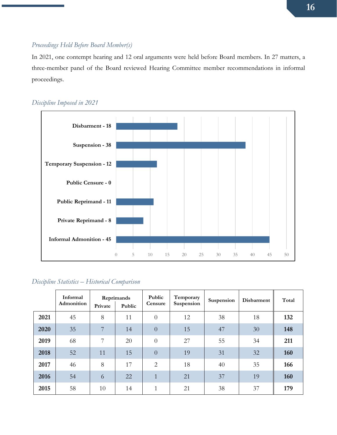### *Proceedings Held Before Board Member(s)*

In 2021, one contempt hearing and 12 oral arguments were held before Board members. In 27 matters, a three-member panel of the Board reviewed Hearing Committee member recommendations in informal proceedings.



### *Discipline Imposed in 2021*

| Discipline Statistics – Historical Comparison |  |  |
|-----------------------------------------------|--|--|
|                                               |  |  |

|      | Informal<br>Admonition | Private | Reprimands<br>Public | Public<br>Censure | Temporary<br>Suspension | Suspension | Disbarment | Total |
|------|------------------------|---------|----------------------|-------------------|-------------------------|------------|------------|-------|
| 2021 | 45                     | 8       | 11                   | $\overline{0}$    | 12                      | 38         | 18         | 132   |
| 2020 | 35                     | 7       | 14                   | $\overline{0}$    | 15                      | 47         | 30         | 148   |
| 2019 | 68                     | 7       | 20                   | $\overline{0}$    | 27                      | 55         | 34         | 211   |
| 2018 | 52                     | 11      | 15                   | $\overline{0}$    | 19                      | 31         | 32         | 160   |
| 2017 | 46                     | 8       | 17                   | $\overline{2}$    | 18                      | 40         | 35         | 166   |
| 2016 | 54                     | 6       | 22                   | $\mathbf{1}$      | 21                      | 37         | 19         | 160   |
| 2015 | 58                     | 10      | 14                   | $\mathbf{1}$      | 21                      | 38         | 37         | 179   |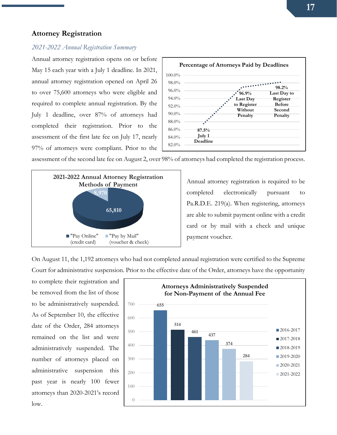#### <span id="page-16-0"></span>**Attorney Registration**

#### *2021-2022 Annual Registration Summary*

Annual attorney registration opens on or before May 15 each year with a July 1 deadline. In 2021, annual attorney registration opened on April 26 to over 75,600 attorneys who were eligible and required to complete annual registration. By the July 1 deadline, over 87% of attorneys had completed their registration. Prior to the assessment of the first late fee on July 17, nearly 97% of attorneys were compliant. Prior to the



assessment of the second late fee on August 2, over 98% of attorneys had completed the registration process.



Annual attorney registration is required to be completed electronically pursuant to Pa.R.D.E. 219(a). When registering, attorneys are able to submit payment online with a credit card or by mail with a check and unique payment voucher.

On August 11, the 1,192 attorneys who had not completed annual registration were certified to the Supreme Court for administrative suspension. Prior to the effective date of the Order, attorneys have the opportunity

to complete their registration and be removed from the list of those to be administratively suspended. As of September 10, the effective date of the Order, 284 attorneys remained on the list and were administratively suspended. The number of attorneys placed on administrative suspension this past year is nearly 100 fewer attorneys than 2020-2021's record low.

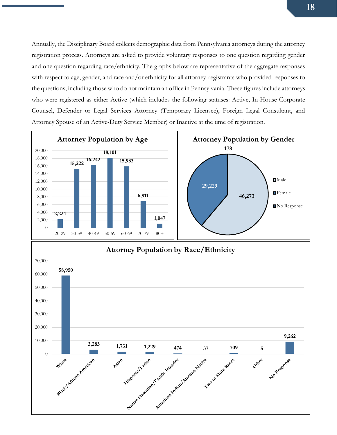Annually, the Disciplinary Board collects demographic data from Pennsylvania attorneys during the attorney registration process. Attorneys are asked to provide voluntary responses to one question regarding gender and one question regarding race/ethnicity. The graphs below are representative of the aggregate responses with respect to age, gender, and race and/or ethnicity for all attorney-registrants who provided responses to the questions, including those who do not maintain an office in Pennsylvania. These figures include attorneys who were registered as either Active (which includes the following statuses: Active, In-House Corporate Counsel, Defender or Legal Services Attorney (Temporary Licensee), Foreign Legal Consultant, and Attorney Spouse of an Active-Duty Service Member) or Inactive at the time of registration.

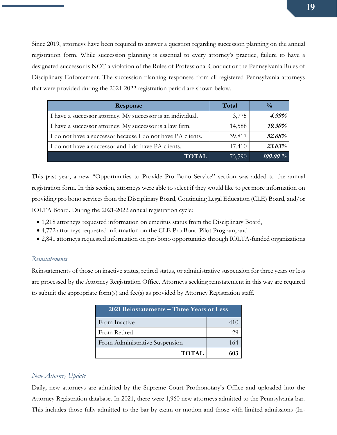Since 2019, attorneys have been required to answer a question regarding succession planning on the annual registration form. While succession planning is essential to every attorney's practice, failure to have a designated successor is NOT a violation of the Rules of Professional Conduct or the Pennsylvania Rules of Disciplinary Enforcement. The succession planning responses from all registered Pennsylvania attorneys that were provided during the 2021-2022 registration period are shown below.

| Response                                                    | Total  | $\frac{0}{0}$ |
|-------------------------------------------------------------|--------|---------------|
| I have a successor attorney. My successor is an individual. | 3,775  | $4.99\%$      |
| I have a successor attorney. My successor is a law firm.    | 14,588 | 19.30%        |
| I do not have a successor because I do not have PA clients. | 39,817 | 52.68%        |
| I do not have a successor and I do have PA clients.         | 17,410 | 23.03%        |
| <b>TOTAL</b>                                                | 75,590 | 100.00 %      |

This past year, a new "Opportunities to Provide Pro Bono Service" section was added to the annual registration form. In this section, attorneys were able to select if they would like to get more information on providing pro bono services from the Disciplinary Board, Continuing Legal Education (CLE) Board, and/or IOLTA Board. During the 2021-2022 annual registration cycle:

- 1,218 attorneys requested information on emeritus status from the Disciplinary Board,
- 4,772 attorneys requested information on the CLE Pro Bono Pilot Program, and
- 2,841 attorneys requested information on pro bono opportunities through IOLTA-funded organizations

#### *Reinstatements*

Reinstatements of those on inactive status, retired status, or administrative suspension for three years or less are processed by the Attorney Registration Office. Attorneys seeking reinstatement in this way are required to submit the appropriate form(s) and fee(s) as provided by Attorney Registration staff.

| 2021 Reinstatements – Three Years or Less |     |  |  |
|-------------------------------------------|-----|--|--|
| From Inactive                             |     |  |  |
| From Retired                              |     |  |  |
| From Administrative Suspension            | 164 |  |  |
| <b>TOTAL</b>                              |     |  |  |

#### *New Attorney Update*

Daily, new attorneys are admitted by the Supreme Court Prothonotary's Office and uploaded into the Attorney Registration database. In 2021, there were 1,960 new attorneys admitted to the Pennsylvania bar. This includes those fully admitted to the bar by exam or motion and those with limited admissions (In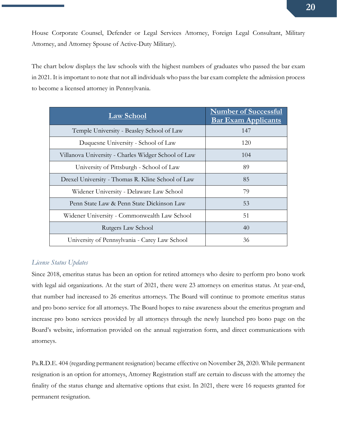House Corporate Counsel, Defender or Legal Services Attorney, Foreign Legal Consultant, Military Attorney, and Attorney Spouse of Active-Duty Military).

The chart below displays the law schools with the highest numbers of graduates who passed the bar exam in 2021. It is important to note that not all individuals who pass the bar exam complete the admission process to become a licensed attorney in Pennsylvania.

| <b>Law School</b>                                   | <b>Number of Successful</b><br><b>Bar Exam Applicants</b> |
|-----------------------------------------------------|-----------------------------------------------------------|
| Temple University - Beasley School of Law           | 147                                                       |
| Duquesne University - School of Law                 | 120                                                       |
| Villanova University - Charles Widger School of Law | 104                                                       |
| University of Pittsburgh - School of Law            | 89                                                        |
| Drexel University - Thomas R. Kline School of Law   | 85                                                        |
| Widener University - Delaware Law School            | 79                                                        |
| Penn State Law & Penn State Dickinson Law           | 53                                                        |
| Widener University - Commonwealth Law School        | 51                                                        |
| Rutgers Law School                                  | 40                                                        |
| University of Pennsylvania - Carey Law School       | 36                                                        |

#### *License Status Updates*

Since 2018, emeritus status has been an option for retired attorneys who desire to perform pro bono work with legal aid organizations. At the start of 2021, there were 23 attorneys on emeritus status. At year-end, that number had increased to 26 emeritus attorneys. The Board will continue to promote emeritus status and pro bono service for all attorneys. The Board hopes to raise awareness about the emeritus program and increase pro bono services provided by all attorneys through the newly launched pro bono page on the Board's website, information provided on the annual registration form, and direct communications with attorneys.

Pa.R.D.E. 404 (regarding permanent resignation) became effective on November 28, 2020. While permanent resignation is an option for attorneys, Attorney Registration staff are certain to discuss with the attorney the finality of the status change and alternative options that exist. In 2021, there were 16 requests granted for permanent resignation.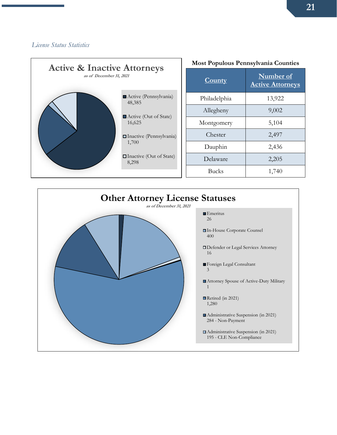### *License Status Statistics*



| <b>Most Populous Pennsylvania Counties</b> |                                      |  |  |
|--------------------------------------------|--------------------------------------|--|--|
| <b>County</b>                              | Number of<br><b>Active Attorneys</b> |  |  |
| Philadelphia                               | 13,922                               |  |  |
| Allegheny                                  | 9,002                                |  |  |
| Montgomery                                 | 5,104                                |  |  |
| Chester                                    | 2,497                                |  |  |
| Dauphin                                    | 2,436                                |  |  |
| Delaware                                   | 2,205                                |  |  |
| <b>Bucks</b>                               | 1,740                                |  |  |

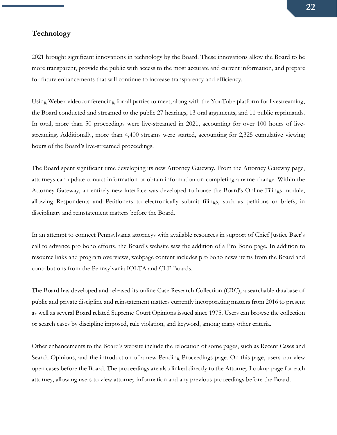#### <span id="page-21-0"></span>**Technology**

2021 brought significant innovations in technology by the Board. These innovations allow the Board to be more transparent, provide the public with access to the most accurate and current information, and prepare for future enhancements that will continue to increase transparency and efficiency.

Using Webex videoconferencing for all parties to meet, along with the YouTube platform for livestreaming, the Board conducted and streamed to the public 27 hearings, 13 oral arguments, and 11 public reprimands. In total, more than 50 proceedings were live-streamed in 2021, accounting for over 100 hours of livestreaming. Additionally, more than 4,400 streams were started, accounting for 2,325 cumulative viewing hours of the Board's live-streamed proceedings.

The Board spent significant time developing its new Attorney Gateway. From the Attorney Gateway page, attorneys can update contact information or obtain information on completing a name change. Within the Attorney Gateway, an entirely new interface was developed to house the Board's Online Filings module, allowing Respondents and Petitioners to electronically submit filings, such as petitions or briefs, in disciplinary and reinstatement matters before the Board.

In an attempt to connect Pennsylvania attorneys with available resources in support of Chief Justice Baer's call to advance pro bono efforts, the Board's website saw the addition of a Pro Bono page. In addition to resource links and program overviews, webpage content includes pro bono news items from the Board and contributions from the Pennsylvania IOLTA and CLE Boards.

The Board has developed and released its online Case Research Collection (CRC), a searchable database of public and private discipline and reinstatement matters currently incorporating matters from 2016 to present as well as several Board related Supreme Court Opinions issued since 1975. Users can browse the collection or search cases by discipline imposed, rule violation, and keyword, among many other criteria.

Other enhancements to the Board's website include the relocation of some pages, such as Recent Cases and Search Opinions, and the introduction of a new Pending Proceedings page. On this page, users can view open cases before the Board. The proceedings are also linked directly to the Attorney Lookup page for each attorney, allowing users to view attorney information and any previous proceedings before the Board.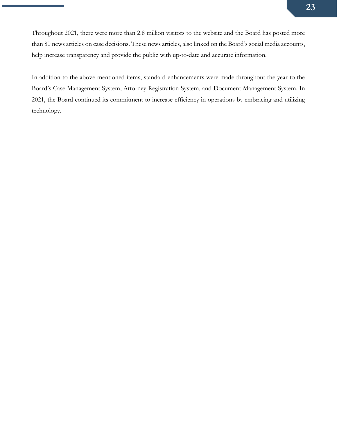Throughout 2021, there were more than 2.8 million visitors to the website and the Board has posted more than 80 news articles on case decisions. These news articles, also linked on the Board's social media accounts, help increase transparency and provide the public with up-to-date and accurate information.

In addition to the above-mentioned items, standard enhancements were made throughout the year to the Board's Case Management System, Attorney Registration System, and Document Management System. In 2021, the Board continued its commitment to increase efficiency in operations by embracing and utilizing technology.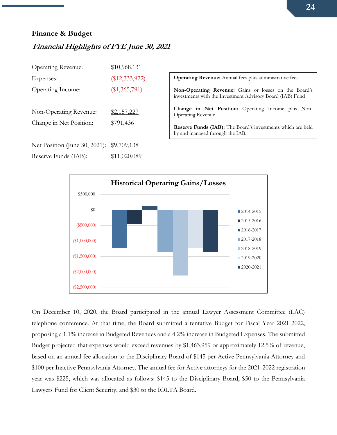### <span id="page-23-0"></span>**Finance & Budget**

## <span id="page-23-1"></span>**Financial Highlights of FYE June 30, 2021**

| <b>Operating Revenue:</b>                             | \$10,968,131                |                               |
|-------------------------------------------------------|-----------------------------|-------------------------------|
| Expenses:                                             | (\$12,333,922)              | Oper                          |
| Operating Income:                                     | $(\$1,365,791)$             | Non<br>inves                  |
| Non-Operating Revenue:<br>Change in Net Position:     | \$2,157,227<br>\$791,436    | Char<br>Oper<br>Rese<br>by an |
| Net Position (June 30, 2021):<br>Reserve Funds (IAB): | \$9,709,138<br>\$11,020,089 |                               |
|                                                       |                             |                               |

rating Revenue: Annual fees plus administrative fees **Non-Operating Revenue:** Gains or losses on the Board's stments with the Investment Advisory Board (IAB) Fund

nge in Net Position: Operating Income plus Nonrating Revenue

rve Funds (IAB): The Board's investments which are held d managed through the IAB.



On December 10, 2020, the Board participated in the annual Lawyer Assessment Committee (LAC) telephone conference. At that time, the Board submitted a tentative Budget for Fiscal Year 2021-2022, proposing a 1.1% increase in Budgeted Revenues and a 4.2% increase in Budgeted Expenses. The submitted Budget projected that expenses would exceed revenues by \$1,463,959 or approximately 12.5% of revenue, based on an annual fee allocation to the Disciplinary Board of \$145 per Active Pennsylvania Attorney and \$100 per Inactive Pennsylvania Attorney. The annual fee for Active attorneys for the 2021-2022 registration year was \$225, which was allocated as follows: \$145 to the Disciplinary Board, \$50 to the Pennsylvania Lawyers Fund for Client Security, and \$30 to the IOLTA Board.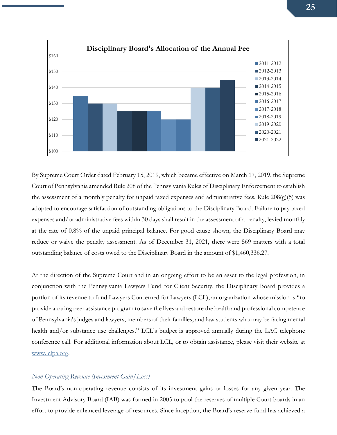

By Supreme Court Order dated February 15, 2019, which became effective on March 17, 2019, the Supreme Court of Pennsylvania amended Rule 208 of the Pennsylvania Rules of Disciplinary Enforcement to establish the assessment of a monthly penalty for unpaid taxed expenses and administrative fees. Rule  $208(g)(5)$  was adopted to encourage satisfaction of outstanding obligations to the Disciplinary Board. Failure to pay taxed expenses and/or administrative fees within 30 days shall result in the assessment of a penalty, levied monthly at the rate of 0.8% of the unpaid principal balance. For good cause shown, the Disciplinary Board may reduce or waive the penalty assessment. As of December 31, 2021, there were 569 matters with a total outstanding balance of costs owed to the Disciplinary Board in the amount of \$1,460,336.27.

At the direction of the Supreme Court and in an ongoing effort to be an asset to the legal profession, in conjunction with the Pennsylvania Lawyers Fund for Client Security, the Disciplinary Board provides a portion of its revenue to fund Lawyers Concerned for Lawyers (LCL), an organization whose mission is "to provide a caring peer assistance program to save the lives and restore the health and professional competence of Pennsylvania's judges and lawyers, members of their families, and law students who may be facing mental health and/or substance use challenges." LCL's budget is approved annually during the LAC telephone conference call. For additional information about LCL, or to obtain assistance, please visit their website at [www.lclpa.org.](http://www.lclpa.org/)

#### *Non-Operating Revenue (Investment Gain/Loss)*

The Board's non-operating revenue consists of its investment gains or losses for any given year. The Investment Advisory Board (IAB) was formed in 2005 to pool the reserves of multiple Court boards in an effort to provide enhanced leverage of resources. Since inception, the Board's reserve fund has achieved a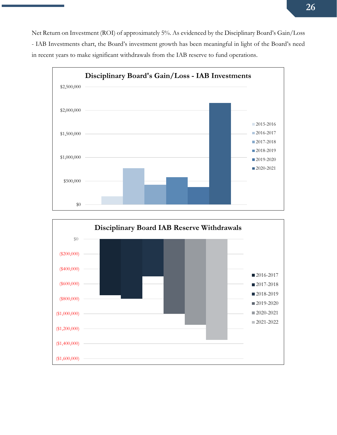Net Return on Investment (ROI) of approximately 5%. As evidenced by the Disciplinary Board's Gain/Loss - IAB Investments chart, the Board's investment growth has been meaningful in light of the Board's need in recent years to make significant withdrawals from the IAB reserve to fund operations.



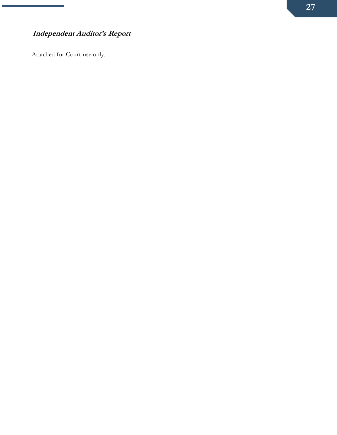## <span id="page-26-0"></span>**Independent Auditor's Report**

Attached for Court-use only.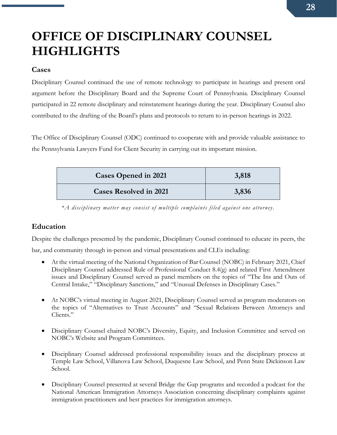# <span id="page-27-0"></span>**OFFICE OF DISCIPLINARY COUNSEL HIGHLIGHTS**

### <span id="page-27-1"></span>**Cases**

Disciplinary Counsel continued the use of remote technology to participate in hearings and present oral argument before the Disciplinary Board and the Supreme Court of Pennsylvania. Disciplinary Counsel participated in 22 remote disciplinary and reinstatement hearings during the year. Disciplinary Counsel also contributed to the drafting of the Board's plans and protocols to return to in-person hearings in 2022.

The Office of Disciplinary Counsel (ODC) continued to cooperate with and provide valuable assistance to the Pennsylvania Lawyers Fund for Client Security in carrying out its important mission.

| <b>Cases Opened in 2021</b>   | 3,818 |
|-------------------------------|-------|
| <b>Cases Resolved in 2021</b> | 3,836 |

*\*A disciplinary matter may consist of multiple complaints filed against one attorney.*

## <span id="page-27-2"></span>**Education**

Despite the challenges presented by the pandemic, Disciplinary Counsel continued to educate its peers, the bar, and community through in-person and virtual presentations and CLEs including:

- At the virtual meeting of the National Organization of Bar Counsel (NOBC) in February 2021, Chief Disciplinary Counsel addressed Rule of Professional Conduct 8.4(g) and related First Amendment issues and Disciplinary Counsel served as panel members on the topics of "The Ins and Outs of Central Intake," "Disciplinary Sanctions," and "Unusual Defenses in Disciplinary Cases."
- At NOBC's virtual meeting in August 2021, Disciplinary Counsel served as program moderators on the topics of "Alternatives to Trust Accounts" and "Sexual Relations Between Attorneys and Clients."
- Disciplinary Counsel chaired NOBC's Diversity, Equity, and Inclusion Committee and served on NOBC's Website and Program Committees.
- Disciplinary Counsel addressed professional responsibility issues and the disciplinary process at Temple Law School, Villanova Law School, Duquesne Law School, and Penn State Dickinson Law School.
- Disciplinary Counsel presented at several Bridge the Gap programs and recorded a podcast for the National American Immigration Attorneys Association concerning disciplinary complaints against immigration practitioners and best practices for immigration attorneys.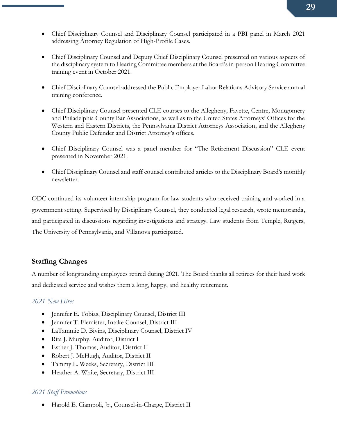- Chief Disciplinary Counsel and Disciplinary Counsel participated in a PBI panel in March 2021 addressing Attorney Regulation of High-Profile Cases.
- Chief Disciplinary Counsel and Deputy Chief Disciplinary Counsel presented on various aspects of the disciplinary system to Hearing Committee members at the Board's in-person Hearing Committee training event in October 2021.
- Chief Disciplinary Counsel addressed the Public Employer Labor Relations Advisory Service annual training conference.
- Chief Disciplinary Counsel presented CLE courses to the Allegheny, Fayette, Centre, Montgomery and Philadelphia County Bar Associations, as well as to the United States Attorneys' Offices for the Western and Eastern Districts, the Pennsylvania District Attorneys Association, and the Allegheny County Public Defender and District Attorney's offices.
- Chief Disciplinary Counsel was a panel member for "The Retirement Discussion" CLE event presented in November 2021.
- Chief Disciplinary Counsel and staff counsel contributed articles to the Disciplinary Board's monthly newsletter.

ODC continued its volunteer internship program for law students who received training and worked in a government setting. Supervised by Disciplinary Counsel, they conducted legal research, wrote memoranda, and participated in discussions regarding investigations and strategy. Law students from Temple, Rutgers, The University of Pennsylvania, and Villanova participated.

## <span id="page-28-0"></span>**Staffing Changes**

A number of longstanding employees retired during 2021. The Board thanks all retirees for their hard work and dedicated service and wishes them a long, happy, and healthy retirement.

## *2021 New Hires*

- Jennifer E. Tobias, Disciplinary Counsel, District III
- Jennifer T. Flemister, Intake Counsel, District III
- LaTammie D. Bivins, Disciplinary Counsel, District IV
- Rita J. Murphy, Auditor, District I
- Esther J. Thomas, Auditor, District II
- Robert J. McHugh, Auditor, District II
- Tammy L. Weeks, Secretary, District III
- Heather A. White, Secretary, District III

## *2021 Staff Promotions*

• Harold E. Ciampoli, Jr., Counsel-in-Charge, District II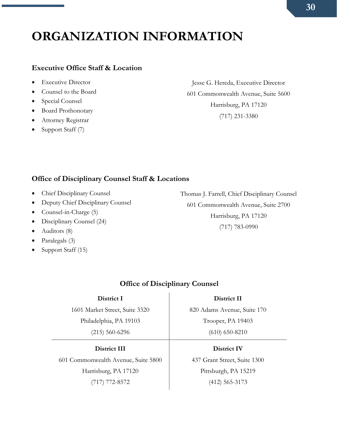# <span id="page-29-0"></span>**ORGANIZATION INFORMATION**

### <span id="page-29-1"></span>**Executive Office Staff & Location**

- Executive Director
- Counsel to the Board
- Special Counsel
- Board Prothonotary
- Attorney Registrar
- Support Staff (7)

Jesse G. Hereda, Executive Director 601 Commonwealth Avenue, Suite 5600 Harrisburg, PA 17120 (717) 231-3380

## <span id="page-29-2"></span>**Office of Disciplinary Counsel Staff & Locations**

- Chief Disciplinary Counsel
- Deputy Chief Disciplinary Counsel
- Counsel-in-Charge (5)
- Disciplinary Counsel (24)
- Auditors (8)
- Paralegals (3)
- Support Staff (15)

Thomas J. Farrell, Chief Disciplinary Counsel 601 Commonwealth Avenue, Suite 2700 Harrisburg, PA 17120 (717) 783-0990

## **Office of Disciplinary Counsel**

**District I** 1601 Market Street, Suite 3320 Philadelphia, PA 19103 (215) 560-6296

**District III**

601 Commonwealth Avenue, Suite 5800 Harrisburg, PA 17120

(717) 772-8572

820 Adams Avenue, Suite 170 Trooper, PA 19403 (610) 650-8210

**District II**

#### **District IV**

437 Grant Street, Suite 1300 Pittsburgh, PA 15219 (412) 565-3173